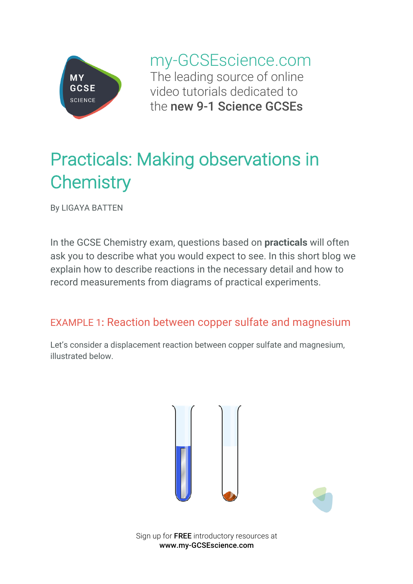

my-GCSEscience.com The leading source of online video tutorials dedicated to the new 9-1 Science GCSEs

## Practicals: Making observations in **Chemistry**

By LIGAYA BATTEN

In the GCSE Chemistry exam, questions based on **practicals** will often ask you to describe what you would expect to see. In this short blog we explain how to describe reactions in the necessary detail and how to record measurements from diagrams of practical experiments.

## EXAMPLE 1**:** Reaction between copper sulfate and magnesium

Let's consider a displacement reaction between copper sulfate and magnesium, illustrated below.





Sign up for FREE introductory resources at www.my-GCSEscience.com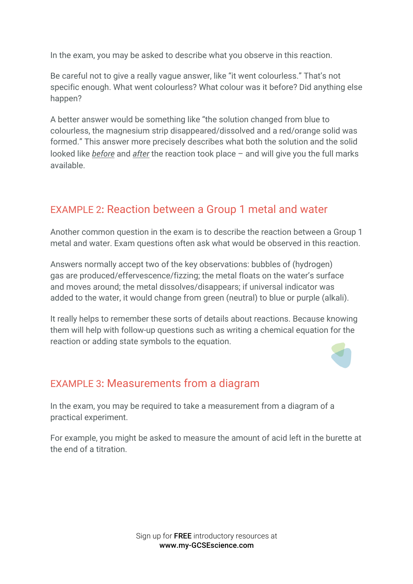In the exam, you may be asked to describe what you observe in this reaction.

Be careful not to give a really vague answer, like "it went colourless." That's not specific enough. What went colourless? What colour was it before? Did anything else happen?

A better answer would be something like "the solution changed from blue to colourless, the magnesium strip disappeared/dissolved and a red/orange solid was formed." This answer more precisely describes what both the solution and the solid looked like *before* and *after* the reaction took place – and will give you the full marks available.

## EXAMPLE 2**:** Reaction between a Group 1 metal and water

Another common question in the exam is to describe the reaction between a Group 1 metal and water. Exam questions often ask what would be observed in this reaction.

Answers normally accept two of the key observations: bubbles of (hydrogen) gas are produced/effervescence/fizzing; the metal floats on the water's surface and moves around; the metal dissolves/disappears; if universal indicator was added to the water, it would change from green (neutral) to blue or purple (alkali).

It really helps to remember these sorts of details about reactions. Because knowing them will help with follow-up questions such as writing a chemical equation for the reaction or adding state symbols to the equation.



## EXAMPLE 3**:** Measurements from a diagram

In the exam, you may be required to take a measurement from a diagram of a practical experiment.

For example, you might be asked to measure the amount of acid left in the burette at the end of a titration.